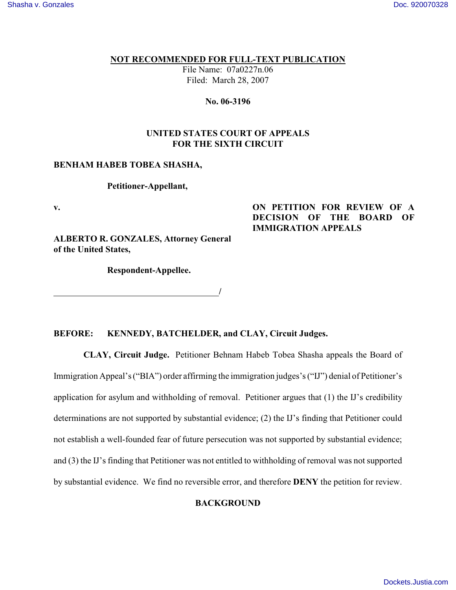# **NOT RECOMMENDED FOR FULL-TEXT PUBLICATION**

File Name: 07a0227n.06 Filed: March 28, 2007

## **No. 06-3196**

# **UNITED STATES COURT OF APPEALS FOR THE SIXTH CIRCUIT**

# **BENHAM HABEB TOBEA SHASHA,**

# **Petitioner-Appellant,**

**v.**

# **ON PETITION FOR REVIEW OF A DECISION OF THE BOARD OF IMMIGRATION APPEALS**

**ALBERTO R. GONZALES, Attorney General of the United States,**

**Respondent-Appellee.**

*<i>/ / <i>/ <i>/ / / / / / / /* 

# **BEFORE: KENNEDY, BATCHELDER, and CLAY, Circuit Judges.**

 **CLAY, Circuit Judge.** Petitioner Behnam Habeb Tobea Shasha appeals the Board of Immigration Appeal's ("BIA") order affirming the immigration judges's ("IJ") denial of Petitioner's application for asylum and withholding of removal. Petitioner argues that (1) the IJ's credibility determinations are not supported by substantial evidence; (2) the IJ's finding that Petitioner could not establish a well-founded fear of future persecution was not supported by substantial evidence; and (3) the IJ's finding that Petitioner was not entitled to withholding of removal was not supported by substantial evidence. We find no reversible error, and therefore **DENY** the petition for review.

## **BACKGROUND**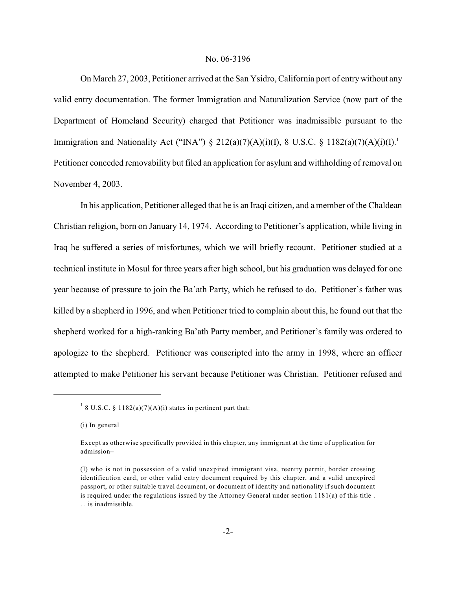On March 27, 2003, Petitioner arrived at the San Ysidro, California port of entry without any valid entry documentation. The former Immigration and Naturalization Service (now part of the Department of Homeland Security) charged that Petitioner was inadmissible pursuant to the Immigration and Nationality Act ("INA") § 212(a)(7)(A)(i)(I), 8 U.S.C. § 1182(a)(7)(A)(i)(I).<sup>1</sup> Petitioner conceded removability but filed an application for asylum and withholding of removal on November 4, 2003.

In his application, Petitioner alleged that he is an Iraqi citizen, and a member of the Chaldean Christian religion, born on January 14, 1974. According to Petitioner's application, while living in Iraq he suffered a series of misfortunes, which we will briefly recount. Petitioner studied at a technical institute in Mosul for three years after high school, but his graduation was delayed for one year because of pressure to join the Ba'ath Party, which he refused to do. Petitioner's father was killed by a shepherd in 1996, and when Petitioner tried to complain about this, he found out that the shepherd worked for a high-ranking Ba'ath Party member, and Petitioner's family was ordered to apologize to the shepherd. Petitioner was conscripted into the army in 1998, where an officer attempted to make Petitioner his servant because Petitioner was Christian. Petitioner refused and

 $18 \text{ U.S.C. } 81182(a)(7)(A)(i)$  states in pertinent part that:

<sup>(</sup>i) In general

Except as otherwise specifically provided in this chapter, any immigrant at the time of application for admission–

<sup>(</sup>I) who is not in possession of a valid unexpired immigrant visa, reentry permit, border crossing identification card, or other valid entry document required by this chapter, and a valid unexpired passport, or other suitable travel document, or document of identity and nationality if such document is required under the regulations issued by the Attorney General under section 1181(a) of this title . . . is inadmissible.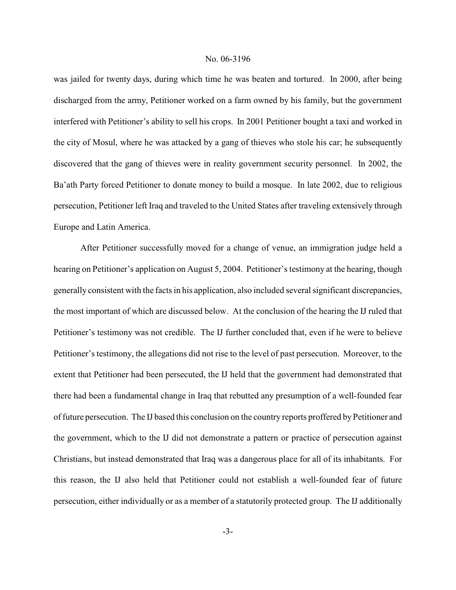was jailed for twenty days, during which time he was beaten and tortured. In 2000, after being discharged from the army, Petitioner worked on a farm owned by his family, but the government interfered with Petitioner's ability to sell his crops. In 2001 Petitioner bought a taxi and worked in the city of Mosul, where he was attacked by a gang of thieves who stole his car; he subsequently discovered that the gang of thieves were in reality government security personnel. In 2002, the Ba'ath Party forced Petitioner to donate money to build a mosque. In late 2002, due to religious persecution, Petitioner left Iraq and traveled to the United States after traveling extensively through Europe and Latin America.

After Petitioner successfully moved for a change of venue, an immigration judge held a hearing on Petitioner's application on August 5, 2004. Petitioner's testimony at the hearing, though generally consistent with the facts in his application, also included several significant discrepancies, the most important of which are discussed below. At the conclusion of the hearing the IJ ruled that Petitioner's testimony was not credible. The IJ further concluded that, even if he were to believe Petitioner's testimony, the allegations did not rise to the level of past persecution. Moreover, to the extent that Petitioner had been persecuted, the IJ held that the government had demonstrated that there had been a fundamental change in Iraq that rebutted any presumption of a well-founded fear of future persecution. The IJ based this conclusion on the country reports proffered by Petitioner and the government, which to the IJ did not demonstrate a pattern or practice of persecution against Christians, but instead demonstrated that Iraq was a dangerous place for all of its inhabitants. For this reason, the IJ also held that Petitioner could not establish a well-founded fear of future persecution, either individually or as a member of a statutorily protected group. The IJ additionally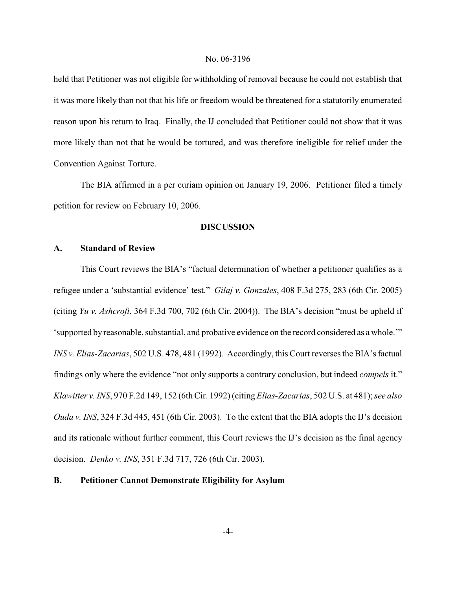held that Petitioner was not eligible for withholding of removal because he could not establish that it was more likely than not that his life or freedom would be threatened for a statutorily enumerated reason upon his return to Iraq. Finally, the IJ concluded that Petitioner could not show that it was more likely than not that he would be tortured, and was therefore ineligible for relief under the Convention Against Torture.

The BIA affirmed in a per curiam opinion on January 19, 2006. Petitioner filed a timely petition for review on February 10, 2006.

### **DISCUSSION**

### **A. Standard of Review**

This Court reviews the BIA's "factual determination of whether a petitioner qualifies as a refugee under a 'substantial evidence' test." *Gilaj v. Gonzales*, 408 F.3d 275, 283 (6th Cir. 2005) (citing *Yu v. Ashcroft*, 364 F.3d 700, 702 (6th Cir. 2004)). The BIA's decision "must be upheld if 'supported by reasonable, substantial, and probative evidence on the record considered as a whole.'" *INS v. Elias-Zacarias*, 502 U.S. 478, 481 (1992). Accordingly, this Court reverses the BIA's factual findings only where the evidence "not only supports a contrary conclusion, but indeed *compels* it." *Klawitter v. INS*, 970 F.2d 149, 152 (6th Cir. 1992) (citing *Elias-Zacarias*, 502 U.S. at 481); *see also Ouda v. INS*, 324 F.3d 445, 451 (6th Cir. 2003). To the extent that the BIA adopts the IJ's decision and its rationale without further comment, this Court reviews the IJ's decision as the final agency decision. *Denko v. INS*, 351 F.3d 717, 726 (6th Cir. 2003).

## **B. Petitioner Cannot Demonstrate Eligibility for Asylum**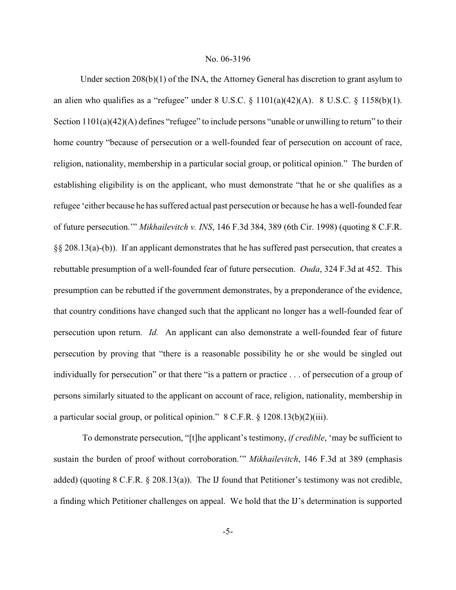Under section 208(b)(1) of the INA, the Attorney General has discretion to grant asylum to an alien who qualifies as a "refugee" under  $8 \text{ U.S.C. } \frac{81101(a)(42)(A)}{8 \text{ U.S.C. } \frac{81158(b)(1)}{8 \text{ U.S. C. } \frac{81158(b)(1)}{8 \text{ U.S. C. } \frac{81158(b)(1)}{8 \text{ U.S. C. } \frac{81158(b)(1)}{8 \text{ U.S. C. } \frac{81158(b)(1)}{8 \text{ U.S. C. } \frac{81158(b)(1)}{8 \text{ U.S. C. } \frac{8$ Section 1101(a)(42)(A) defines "refugee" to include persons "unable or unwilling to return" to their home country "because of persecution or a well-founded fear of persecution on account of race, religion, nationality, membership in a particular social group, or political opinion." The burden of establishing eligibility is on the applicant, who must demonstrate "that he or she qualifies as a refugee 'either because he has suffered actual past persecution or because he has a well-founded fear of future persecution.'" *Mikhailevitch v. INS*, 146 F.3d 384, 389 (6th Cir. 1998) (quoting 8 C.F.R. §§ 208.13(a)-(b)). If an applicant demonstrates that he has suffered past persecution, that creates a rebuttable presumption of a well-founded fear of future persecution. *Ouda*, 324 F.3d at 452. This presumption can be rebutted if the government demonstrates, by a preponderance of the evidence, that country conditions have changed such that the applicant no longer has a well-founded fear of persecution upon return. *Id.* An applicant can also demonstrate a well-founded fear of future persecution by proving that "there is a reasonable possibility he or she would be singled out individually for persecution" or that there "is a pattern or practice . . . of persecution of a group of persons similarly situated to the applicant on account of race, religion, nationality, membership in a particular social group, or political opinion." 8 C.F.R. § 1208.13(b)(2)(iii).

 To demonstrate persecution, "[t]he applicant's testimony, *if credible*, 'may be sufficient to sustain the burden of proof without corroboration.'" *Mikhailevitch*, 146 F.3d at 389 (emphasis added) (quoting 8 C.F.R. § 208.13(a)). The IJ found that Petitioner's testimony was not credible, a finding which Petitioner challenges on appeal. We hold that the IJ's determination is supported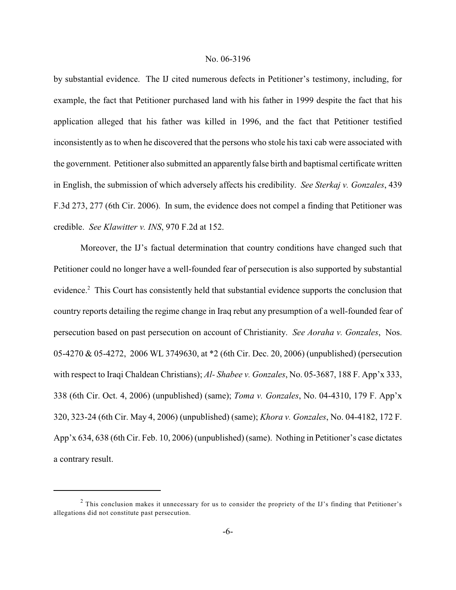by substantial evidence. The IJ cited numerous defects in Petitioner's testimony, including, for example, the fact that Petitioner purchased land with his father in 1999 despite the fact that his application alleged that his father was killed in 1996, and the fact that Petitioner testified inconsistently as to when he discovered that the persons who stole his taxi cab were associated with the government. Petitioner also submitted an apparently false birth and baptismal certificate written in English, the submission of which adversely affects his credibility. *See Sterkaj v. Gonzales*, 439 F.3d 273, 277 (6th Cir. 2006). In sum, the evidence does not compel a finding that Petitioner was credible. *See Klawitter v. INS*, 970 F.2d at 152.

Moreover, the IJ's factual determination that country conditions have changed such that Petitioner could no longer have a well-founded fear of persecution is also supported by substantial evidence.<sup>2</sup> This Court has consistently held that substantial evidence supports the conclusion that country reports detailing the regime change in Iraq rebut any presumption of a well-founded fear of persecution based on past persecution on account of Christianity. *See Aoraha v. Gonzales*, Nos. 05-4270 & 05-4272, 2006 WL 3749630, at \*2 (6th Cir. Dec. 20, 2006) (unpublished) (persecution with respect to Iraqi Chaldean Christians); *Al- Shabee v. Gonzales*, No. 05-3687, 188 F. App'x 333, 338 (6th Cir. Oct. 4, 2006) (unpublished) (same); *Toma v. Gonzales*, No. 04-4310, 179 F. App'x 320, 323-24 (6th Cir. May 4, 2006) (unpublished) (same); *Khora v. Gonzales*, No. 04-4182, 172 F. App'x 634, 638 (6th Cir. Feb. 10, 2006) (unpublished) (same). Nothing in Petitioner's case dictates a contrary result.

<sup>&</sup>lt;sup>2</sup> This conclusion makes it unnecessary for us to consider the propriety of the IJ's finding that Petitioner's allegations did not constitute past persecution.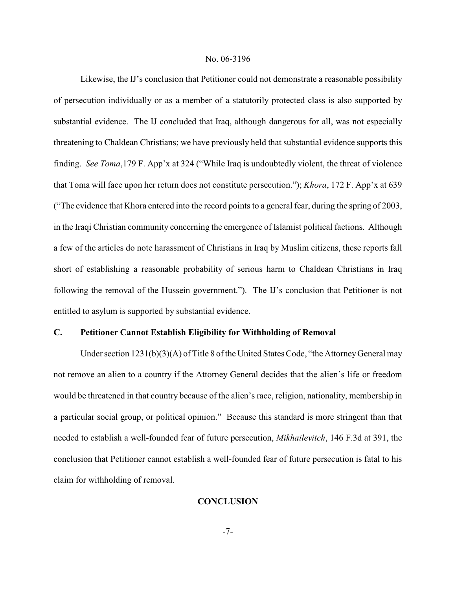Likewise, the IJ's conclusion that Petitioner could not demonstrate a reasonable possibility of persecution individually or as a member of a statutorily protected class is also supported by substantial evidence. The IJ concluded that Iraq, although dangerous for all, was not especially threatening to Chaldean Christians; we have previously held that substantial evidence supports this finding. *See Toma*,179 F. App'x at 324 ("While Iraq is undoubtedly violent, the threat of violence that Toma will face upon her return does not constitute persecution."); *Khora*, 172 F. App'x at 639 ("The evidence that Khora entered into the record points to a general fear, during the spring of 2003, in the Iraqi Christian community concerning the emergence of Islamist political factions. Although a few of the articles do note harassment of Christians in Iraq by Muslim citizens, these reports fall short of establishing a reasonable probability of serious harm to Chaldean Christians in Iraq following the removal of the Hussein government."). The IJ's conclusion that Petitioner is not entitled to asylum is supported by substantial evidence.

### **C. Petitioner Cannot Establish Eligibility for Withholding of Removal**

Under section 1231(b)(3)(A) of Title 8 of the United States Code, "the Attorney General may not remove an alien to a country if the Attorney General decides that the alien's life or freedom would be threatened in that country because of the alien's race, religion, nationality, membership in a particular social group, or political opinion." Because this standard is more stringent than that needed to establish a well-founded fear of future persecution, *Mikhailevitch*, 146 F.3d at 391, the conclusion that Petitioner cannot establish a well-founded fear of future persecution is fatal to his claim for withholding of removal.

## **CONCLUSION**